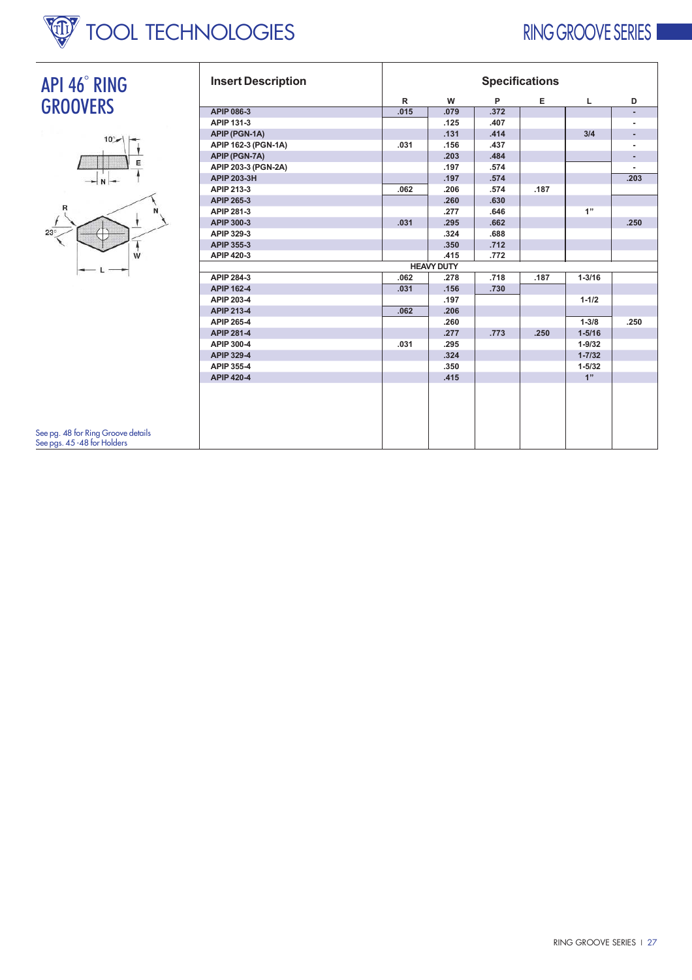

## RING GROOVE SERIES

٦





See pg. 48 for Ring Groove details<br>See pgs. 45 -48 for Holders

| <b>Insert Description</b> | <b>Specifications</b> |                   |      |      |            |      |  |  |  |
|---------------------------|-----------------------|-------------------|------|------|------------|------|--|--|--|
|                           | $\mathsf{R}$          | W                 | P    | Е    | L.         | D    |  |  |  |
| APIP 086-3                | .015                  | .079              | .372 |      |            | ٠    |  |  |  |
| APIP 131-3                |                       | .125              | .407 |      |            |      |  |  |  |
| APIP (PGN-1A)             |                       | .131              | .414 |      | 3/4        |      |  |  |  |
| APIP 162-3 (PGN-1A)       | .031                  | .156              | .437 |      |            |      |  |  |  |
| APIP (PGN-7A)             |                       | .203              | .484 |      |            |      |  |  |  |
| APIP 203-3 (PGN-2A)       |                       | .197              | .574 |      |            |      |  |  |  |
| APIP 203-3H               |                       | .197              | .574 |      |            | .203 |  |  |  |
| APIP 213-3                | .062                  | .206              | .574 | .187 |            |      |  |  |  |
| APIP 265-3                |                       | .260              | .630 |      |            |      |  |  |  |
| APIP 281-3                |                       | .277              | .646 |      | 1"         |      |  |  |  |
| APIP 300-3                | .031                  | .295              | .662 |      |            | .250 |  |  |  |
| APIP 329-3                |                       | .324              | .688 |      |            |      |  |  |  |
| APIP 355-3                |                       | .350              | .712 |      |            |      |  |  |  |
| APIP 420-3                |                       | .415              | .772 |      |            |      |  |  |  |
|                           |                       | <b>HEAVY DUTY</b> |      |      |            |      |  |  |  |
| APIP 284-3                | .062                  | .278              | .718 | .187 | $1 - 3/16$ |      |  |  |  |
| APIP 162-4                | .031                  | .156              | .730 |      |            |      |  |  |  |
| APIP 203-4                |                       | .197              |      |      | $1 - 1/2$  |      |  |  |  |
| APIP 213-4                | .062                  | .206              |      |      |            |      |  |  |  |
| APIP 265-4                |                       | .260              |      |      | $1 - 3/8$  | .250 |  |  |  |
| APIP 281-4                |                       | .277              | .773 | .250 | $1 - 5/16$ |      |  |  |  |
| APIP 300-4                | .031                  | .295              |      |      | $1 - 9/32$ |      |  |  |  |
| APIP 329-4                |                       | .324              |      |      | $1 - 7/32$ |      |  |  |  |
| APIP 355-4                |                       | .350              |      |      | $1 - 5/32$ |      |  |  |  |
| APIP 420-4                |                       | .415              |      |      | 1"         |      |  |  |  |
|                           |                       |                   |      |      |            |      |  |  |  |

ℸ